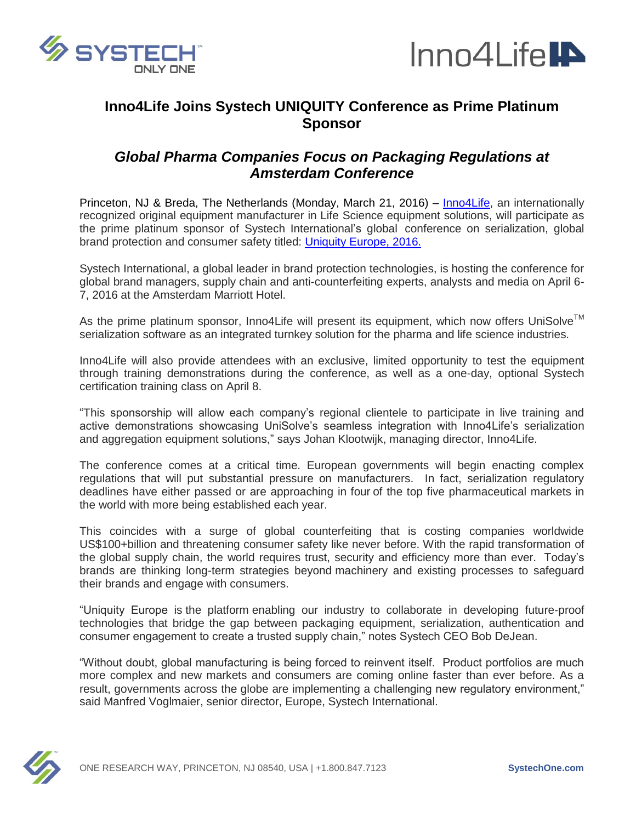



# **Inno4Life Joins Systech UNIQUITY Conference as Prime Platinum Sponsor**

## *Global Pharma Companies Focus on Packaging Regulations at Amsterdam Conference*

Princeton, NJ & Breda, The Netherlands (Monday, March 21, 2016) – [Inno4Life,](http://www.inno4life.com/) an internationally recognized original equipment manufacturer in Life Science equipment solutions, will participate as the prime platinum sponsor of [Systech International'](http://www.systechone.com/)s global conference on serialization, global brand protection and consumer safety titled: [Uniquity Europe, 2016.](http://systechone.com/uniquity2016eu/)

[Systech International,](http://www.systechone.com/) a global leader in brand protection technologies, is hosting the conference for global brand managers, supply chain and anti-counterfeiting experts, analysts and media on April 6- 7, 2016 at the Amsterdam Marriott Hotel.

As the prime platinum sponsor, Inno4Life will present its equipment, which now offers UniSolve™ serialization software as an integrated turnkey solution for the pharma and life science industries.

Inno4Life will also provide attendees with an exclusive, limited opportunity to test the equipment through training demonstrations during the conference, as well as a one-day, optional Systech certification training class on April 8.

"This sponsorship will allow each company's regional clientele to participate in live training and active demonstrations showcasing UniSolve's seamless integration with Inno4Life's serialization and aggregation equipment solutions," says Johan Klootwijk, managing director, Inno4Life.

The conference comes at a critical time. European governments will begin enacting complex regulations that will put substantial pressure on manufacturers. In fact, serialization regulatory deadlines have either passed or are approaching in four of the top five pharmaceutical markets in the world with more being established each year.

This coincides with a surge of global counterfeiting that is costing companies worldwide US\$100+billion and threatening consumer safety like never before. With the rapid transformation of the global supply chain, the world requires trust, security and efficiency more than ever. Today's brands are thinking long-term strategies beyond machinery and existing processes to safeguard their brands and engage with consumers.

"Uniquity Europe is the platform enabling our industry to collaborate in developing future-proof technologies that bridge the gap between packaging equipment, serialization, authentication and consumer engagement to create a trusted supply chain," notes Systech CEO Bob DeJean.

"Without doubt, global manufacturing is being forced to reinvent itself. Product portfolios are much more complex and new markets and consumers are coming online faster than ever before. As a result, governments across the globe are implementing a challenging new regulatory environment," said Manfred Voglmaier, senior director, Europe, Systech International.